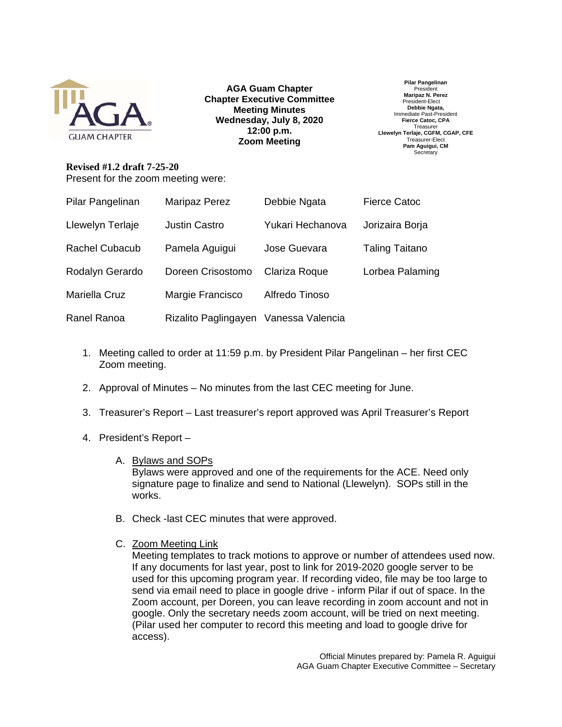

**AGA Guam Chapter Chapter Executive Committee Meeting Minutes Wednesday, July 8, 2020 12:00 p.m. Zoom Meeting** 

**Pilar Pangelinan**  President **Maripaz N. Perez**  President-Elect **Debbie Ngata,**  Immediate Past-President **Fierce Catoc, CPA Treasurer Llewelyn Terlaje, CGFM, CGAP, CFE**  Treasurer-Elect **Pam Aguigui, CM Secretary** 

**Revised #1.2 draft 7-25-20**  Present for the zoom meeting were:

| Pilar Pangelinan      | Maripaz Perez                         | Debbie Ngata     | <b>Fierce Catoc</b>   |
|-----------------------|---------------------------------------|------------------|-----------------------|
| Llewelyn Terlaje      | <b>Justin Castro</b>                  | Yukari Hechanova | Jorizaira Borja       |
| <b>Rachel Cubacub</b> | Pamela Aguigui                        | Jose Guevara     | <b>Taling Taitano</b> |
| Rodalyn Gerardo       | Doreen Crisostomo                     | Clariza Roque    | Lorbea Palaming       |
| Mariella Cruz         | Margie Francisco                      | Alfredo Tinoso   |                       |
| <b>Ranel Ranoa</b>    | Rizalito Paglingayen Vanessa Valencia |                  |                       |

- 1. Meeting called to order at 11:59 p.m. by President Pilar Pangelinan her first CEC Zoom meeting.
- 2. Approval of Minutes No minutes from the last CEC meeting for June.
- 3. Treasurer's Report Last treasurer's report approved was April Treasurer's Report
- 4. President's Report
	- A. Bylaws and SOPs

Bylaws were approved and one of the requirements for the ACE. Need only signature page to finalize and send to National (Llewelyn). SOPs still in the works.

- B. Check -last CEC minutes that were approved.
- C. Zoom Meeting Link

Meeting templates to track motions to approve or number of attendees used now. If any documents for last year, post to link for 2019-2020 google server to be used for this upcoming program year. If recording video, file may be too large to send via email need to place in google drive - inform Pilar if out of space. In the Zoom account, per Doreen, you can leave recording in zoom account and not in google. Only the secretary needs zoom account, will be tried on next meeting. (Pilar used her computer to record this meeting and load to google drive for access).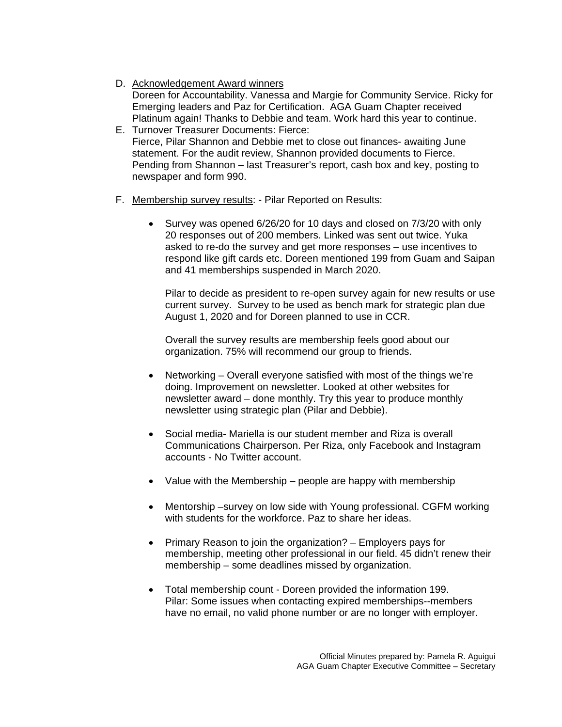- D. Acknowledgement Award winners Doreen for Accountability. Vanessa and Margie for Community Service. Ricky for Emerging leaders and Paz for Certification. AGA Guam Chapter received Platinum again! Thanks to Debbie and team. Work hard this year to continue.
- E. Turnover Treasurer Documents: Fierce: Fierce, Pilar Shannon and Debbie met to close out finances- awaiting June statement. For the audit review, Shannon provided documents to Fierce. Pending from Shannon – last Treasurer's report, cash box and key, posting to newspaper and form 990.
- F. Membership survey results: Pilar Reported on Results:
	- Survey was opened 6/26/20 for 10 days and closed on 7/3/20 with only 20 responses out of 200 members. Linked was sent out twice. Yuka asked to re-do the survey and get more responses – use incentives to respond like gift cards etc. Doreen mentioned 199 from Guam and Saipan and 41 memberships suspended in March 2020.

Pilar to decide as president to re-open survey again for new results or use current survey. Survey to be used as bench mark for strategic plan due August 1, 2020 and for Doreen planned to use in CCR.

Overall the survey results are membership feels good about our organization. 75% will recommend our group to friends.

- Networking Overall everyone satisfied with most of the things we're doing. Improvement on newsletter. Looked at other websites for newsletter award – done monthly. Try this year to produce monthly newsletter using strategic plan (Pilar and Debbie).
- Social media- Mariella is our student member and Riza is overall Communications Chairperson. Per Riza, only Facebook and Instagram accounts - No Twitter account.
- Value with the Membership people are happy with membership
- Mentorship –survey on low side with Young professional. CGFM working with students for the workforce. Paz to share her ideas.
- $\bullet$  Primary Reason to join the organization? Employers pays for membership, meeting other professional in our field. 45 didn't renew their membership – some deadlines missed by organization.
- Total membership count Doreen provided the information 199. Pilar: Some issues when contacting expired memberships--members have no email, no valid phone number or are no longer with employer.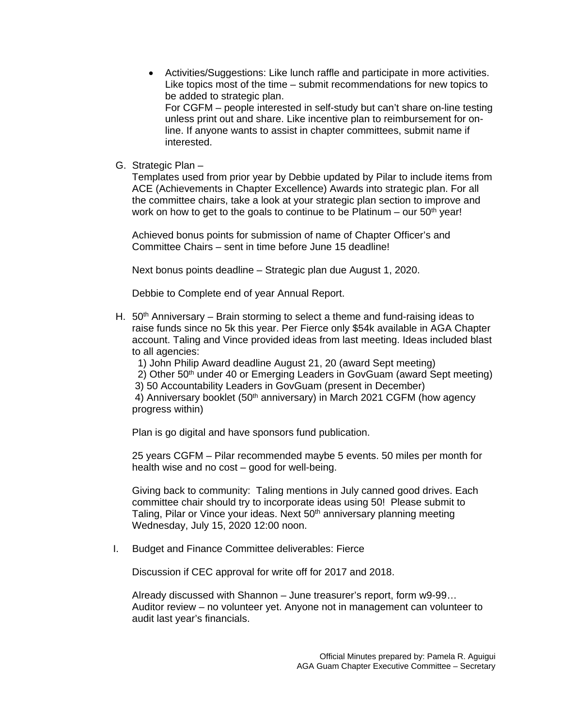- Activities/Suggestions: Like lunch raffle and participate in more activities. Like topics most of the time – submit recommendations for new topics to be added to strategic plan. For CGFM – people interested in self-study but can't share on-line testing unless print out and share. Like incentive plan to reimbursement for online. If anyone wants to assist in chapter committees, submit name if interested.
- G. Strategic Plan –

Templates used from prior year by Debbie updated by Pilar to include items from ACE (Achievements in Chapter Excellence) Awards into strategic plan. For all the committee chairs, take a look at your strategic plan section to improve and work on how to get to the goals to continue to be Platinum – our  $50<sup>th</sup>$  year!

Achieved bonus points for submission of name of Chapter Officer's and Committee Chairs – sent in time before June 15 deadline!

Next bonus points deadline – Strategic plan due August 1, 2020.

Debbie to Complete end of year Annual Report.

H.  $50<sup>th</sup>$  Anniversary – Brain storming to select a theme and fund-raising ideas to raise funds since no 5k this year. Per Fierce only \$54k available in AGA Chapter account. Taling and Vince provided ideas from last meeting. Ideas included blast to all agencies:

1) John Philip Award deadline August 21, 20 (award Sept meeting)

- 2) Other 50th under 40 or Emerging Leaders in GovGuam (award Sept meeting)
- 3) 50 Accountability Leaders in GovGuam (present in December)

4) Anniversary booklet (50<sup>th</sup> anniversary) in March 2021 CGFM (how agency progress within)

Plan is go digital and have sponsors fund publication.

25 years CGFM – Pilar recommended maybe 5 events. 50 miles per month for health wise and no cost – good for well-being.

Giving back to community: Taling mentions in July canned good drives. Each committee chair should try to incorporate ideas using 50! Please submit to Taling, Pilar or Vince your ideas. Next 50<sup>th</sup> anniversary planning meeting Wednesday, July 15, 2020 12:00 noon.

I. Budget and Finance Committee deliverables: Fierce

Discussion if CEC approval for write off for 2017 and 2018.

Already discussed with Shannon – June treasurer's report, form w9-99… Auditor review – no volunteer yet. Anyone not in management can volunteer to audit last year's financials.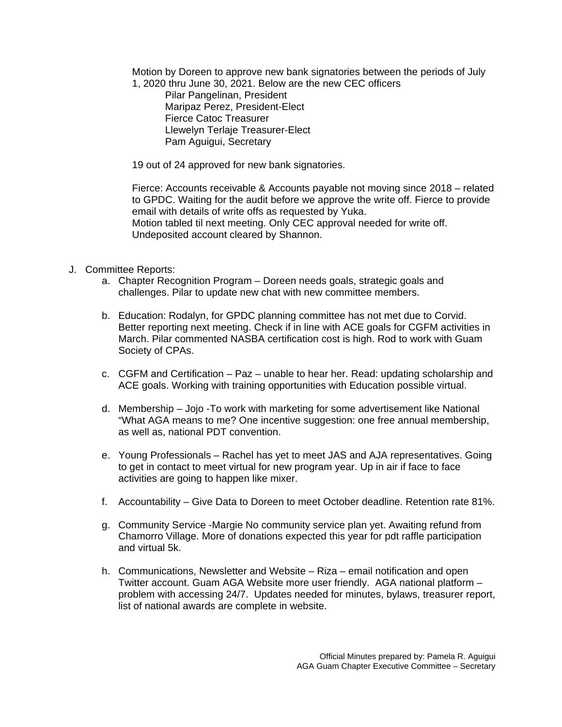Motion by Doreen to approve new bank signatories between the periods of July 1, 2020 thru June 30, 2021. Below are the new CEC officers

 Pilar Pangelinan, President Maripaz Perez, President-Elect Fierce Catoc Treasurer Llewelyn Terlaje Treasurer-Elect Pam Aguigui, Secretary

19 out of 24 approved for new bank signatories.

Fierce: Accounts receivable & Accounts payable not moving since 2018 – related to GPDC. Waiting for the audit before we approve the write off. Fierce to provide email with details of write offs as requested by Yuka. Motion tabled til next meeting. Only CEC approval needed for write off. Undeposited account cleared by Shannon.

- J. Committee Reports:
	- a. Chapter Recognition Program Doreen needs goals, strategic goals and challenges. Pilar to update new chat with new committee members.
	- b. Education: Rodalyn, for GPDC planning committee has not met due to Corvid. Better reporting next meeting. Check if in line with ACE goals for CGFM activities in March. Pilar commented NASBA certification cost is high. Rod to work with Guam Society of CPAs.
	- c. CGFM and Certification Paz unable to hear her. Read: updating scholarship and ACE goals. Working with training opportunities with Education possible virtual.
	- d. Membership Jojo -To work with marketing for some advertisement like National "What AGA means to me? One incentive suggestion: one free annual membership, as well as, national PDT convention.
	- e. Young Professionals Rachel has yet to meet JAS and AJA representatives. Going to get in contact to meet virtual for new program year. Up in air if face to face activities are going to happen like mixer.
	- f. Accountability Give Data to Doreen to meet October deadline. Retention rate 81%.
	- g. Community Service -Margie No community service plan yet. Awaiting refund from Chamorro Village. More of donations expected this year for pdt raffle participation and virtual 5k.
	- h. Communications, Newsletter and Website Riza email notification and open Twitter account. Guam AGA Website more user friendly. AGA national platform – problem with accessing 24/7. Updates needed for minutes, bylaws, treasurer report, list of national awards are complete in website.